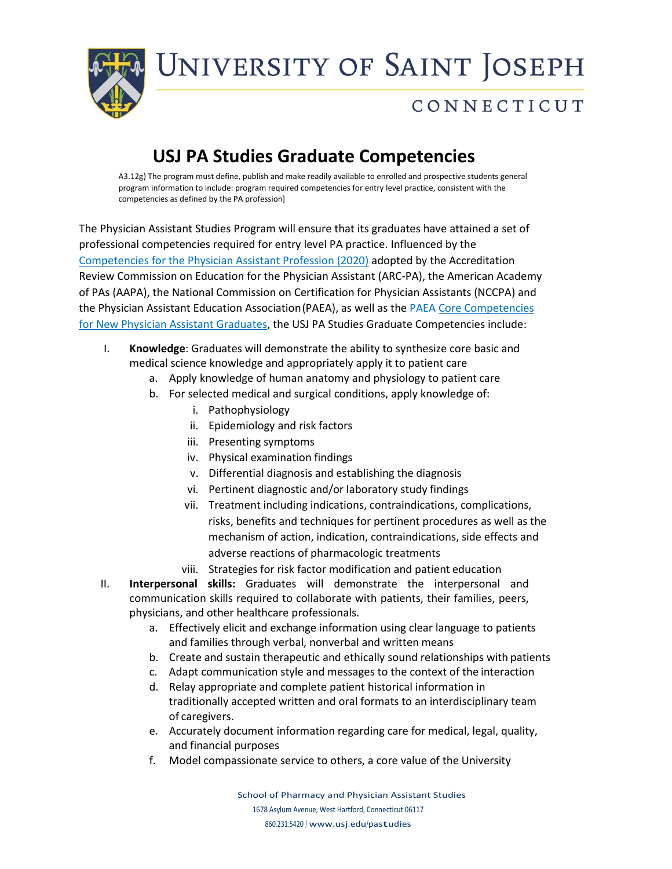UNIVERSITY OF SAINT JOSEPH



## CONNECTICUT

#### **USJ PA Studies Graduate Competencies**

A3.12g) The program must define, publish and make readily available to enrolled and prospective students general program information to include: program required competencies for entry level practice, consistent with the competencies as defined by the PA profession]

The Physician Assistant Studies Program will ensure that its graduates have attained a set of professional competencies required for entry level PA practice. Influenced by the [Competencies for the Physician Assistant Profession \(2020\)](https://paeaonline.org/wp-content/uploads/2021/03/competencies-for-the-pa-profession-2020605.pdf) adopted by the Accreditation Review Commission on Education for the Physician Assistant (ARC-PA), the American Academy of PAs (AAPA), the National Commission on Certification for Physician Assistants (NCCPA) and the Physician Assistant Education Association(PAEA), as well as the PAE[A Core Competencies](https://paeaonline.org/wp-content/uploads/2021/01/core_competencies-new-pa-graduates-092018.pdf)  [for New Physician Assistant Graduates,](https://paeaonline.org/wp-content/uploads/2021/01/core_competencies-new-pa-graduates-092018.pdf) the USJ PA Studies Graduate Competencies include:

- I. **Knowledge**: Graduates will demonstrate the ability to synthesize core basic and medical science knowledge and appropriately apply it to patient care
	- a. Apply knowledge of human anatomy and physiology to patient care
	- b. For selected medical and surgical conditions, apply knowledge of:
		- i. Pathophysiology
		- ii. Epidemiology and risk factors
		- iii. Presenting symptoms
		- iv. Physical examination findings
		- v. Differential diagnosis and establishing the diagnosis
		- vi. Pertinent diagnostic and/or laboratory study findings
		- vii. Treatment including indications, contraindications, complications, risks, benefits and techniques for pertinent procedures as well as the mechanism of action, indication, contraindications, side effects and adverse reactions of pharmacologic treatments
		- viii. Strategies for risk factor modification and patient education
- II. **Interpersonal skills:** Graduates will demonstrate the interpersonal and communication skills required to collaborate with patients, their families, peers, physicians, and other healthcare professionals.
	- a. Effectively elicit and exchange information using clear language to patients and families through verbal, nonverbal and written means
	- b. Create and sustain therapeutic and ethically sound relationships with patients
	- c. Adapt communication style and messages to the context of the interaction
	- d. Relay appropriate and complete patient historical information in traditionally accepted written and oral formats to an interdisciplinary team of caregivers.
	- e. Accurately document information regarding care for medical, legal, quality, and financial purposes
	- f. Model compassionate service to others, a core value of the University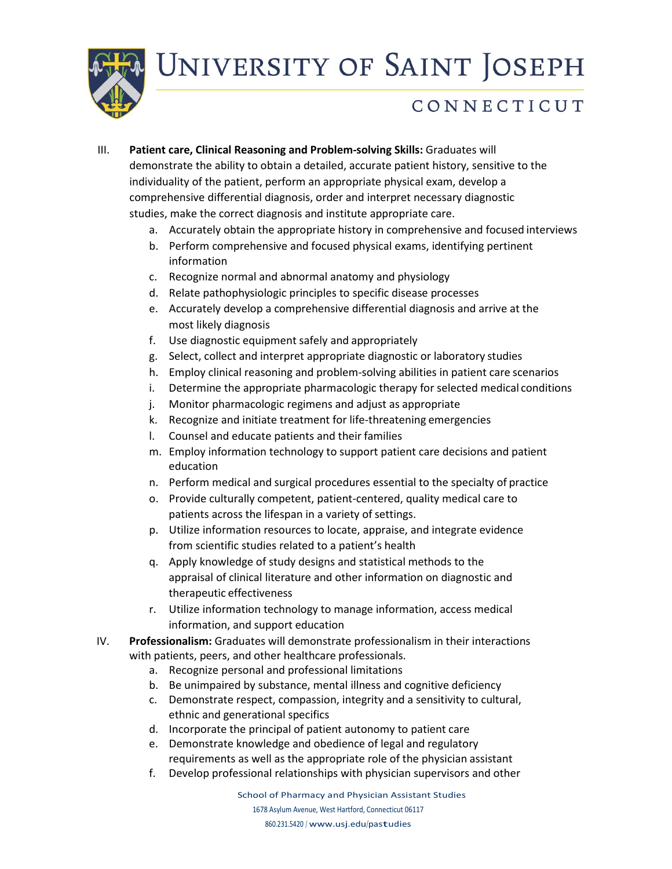UNIVERSITY OF SAINT JOSEPH



#### CONNECTICUT

- III. **Patient care, Clinical Reasoning and Problem-solving Skills:** Graduates will demonstrate the ability to obtain a detailed, accurate patient history, sensitive to the individuality of the patient, perform an appropriate physical exam, develop a comprehensive differential diagnosis, order and interpret necessary diagnostic studies, make the correct diagnosis and institute appropriate care.
	- a. Accurately obtain the appropriate history in comprehensive and focused interviews
	- b. Perform comprehensive and focused physical exams, identifying pertinent information
	- c. Recognize normal and abnormal anatomy and physiology
	- d. Relate pathophysiologic principles to specific disease processes
	- e. Accurately develop a comprehensive differential diagnosis and arrive at the most likely diagnosis
	- f. Use diagnostic equipment safely and appropriately
	- g. Select, collect and interpret appropriate diagnostic or laboratory studies
	- h. Employ clinical reasoning and problem-solving abilities in patient care scenarios
	- i. Determine the appropriate pharmacologic therapy for selected medical conditions
	- j. Monitor pharmacologic regimens and adjust as appropriate
	- k. Recognize and initiate treatment for life-threatening emergencies
	- l. Counsel and educate patients and their families
	- m. Employ information technology to support patient care decisions and patient education
	- n. Perform medical and surgical procedures essential to the specialty of practice
	- o. Provide culturally competent, patient-centered, quality medical care to patients across the lifespan in a variety of settings.
	- p. Utilize information resources to locate, appraise, and integrate evidence from scientific studies related to a patient's health
	- q. Apply knowledge of study designs and statistical methods to the appraisal of clinical literature and other information on diagnostic and therapeutic effectiveness
	- r. Utilize information technology to manage information, access medical information, and support education
- IV. **Professionalism:** Graduates will demonstrate professionalism in their interactions with patients, peers, and other healthcare professionals.
	- a. Recognize personal and professional limitations
	- b. Be unimpaired by substance, mental illness and cognitive deficiency
	- c. Demonstrate respect, compassion, integrity and a sensitivity to cultural, ethnic and generational specifics
	- d. Incorporate the principal of patient autonomy to patient care
	- e. Demonstrate knowledge and obedience of legal and regulatory requirements as well as the appropriate role of the physician assistant
	- f. Develop professional relationships with physician supervisors and other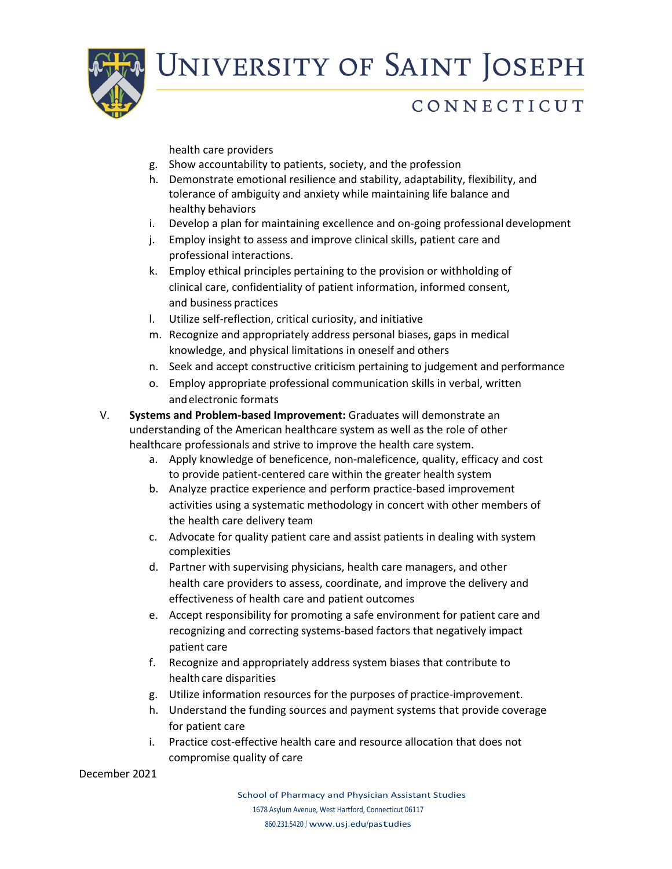

# UNIVERSITY OF SAINT JOSEPH

## CONNECTICUT

health care providers

- g. Show accountability to patients, society, and the profession
- h. Demonstrate emotional resilience and stability, adaptability, flexibility, and tolerance of ambiguity and anxiety while maintaining life balance and healthy behaviors
- i. Develop a plan for maintaining excellence and on-going professional development
- j. Employ insight to assess and improve clinical skills, patient care and professional interactions.
- k. Employ ethical principles pertaining to the provision or withholding of clinical care, confidentiality of patient information, informed consent, and business practices
- l. Utilize self-reflection, critical curiosity, and initiative
- m. Recognize and appropriately address personal biases, gaps in medical knowledge, and physical limitations in oneself and others
- n. Seek and accept constructive criticism pertaining to judgement and performance
- o. Employ appropriate professional communication skills in verbal, written andelectronic formats
- V. **Systems and Problem-based Improvement:** Graduates will demonstrate an understanding of the American healthcare system as well as the role of other healthcare professionals and strive to improve the health care system.
	- a. Apply knowledge of beneficence, non-maleficence, quality, efficacy and cost to provide patient-centered care within the greater health system
	- b. Analyze practice experience and perform practice-based improvement activities using a systematic methodology in concert with other members of the health care delivery team
	- c. Advocate for quality patient care and assist patients in dealing with system complexities
	- d. Partner with supervising physicians, health care managers, and other health care providers to assess, coordinate, and improve the delivery and effectiveness of health care and patient outcomes
	- e. Accept responsibility for promoting a safe environment for patient care and recognizing and correcting systems-based factors that negatively impact patient care
	- f. Recognize and appropriately address system biases that contribute to health care disparities
	- g. Utilize information resources for the purposes of practice-improvement.
	- h. Understand the funding sources and payment systems that provide coverage for patient care
	- i. Practice cost-effective health care and resource allocation that does not compromise quality of care

December 2021